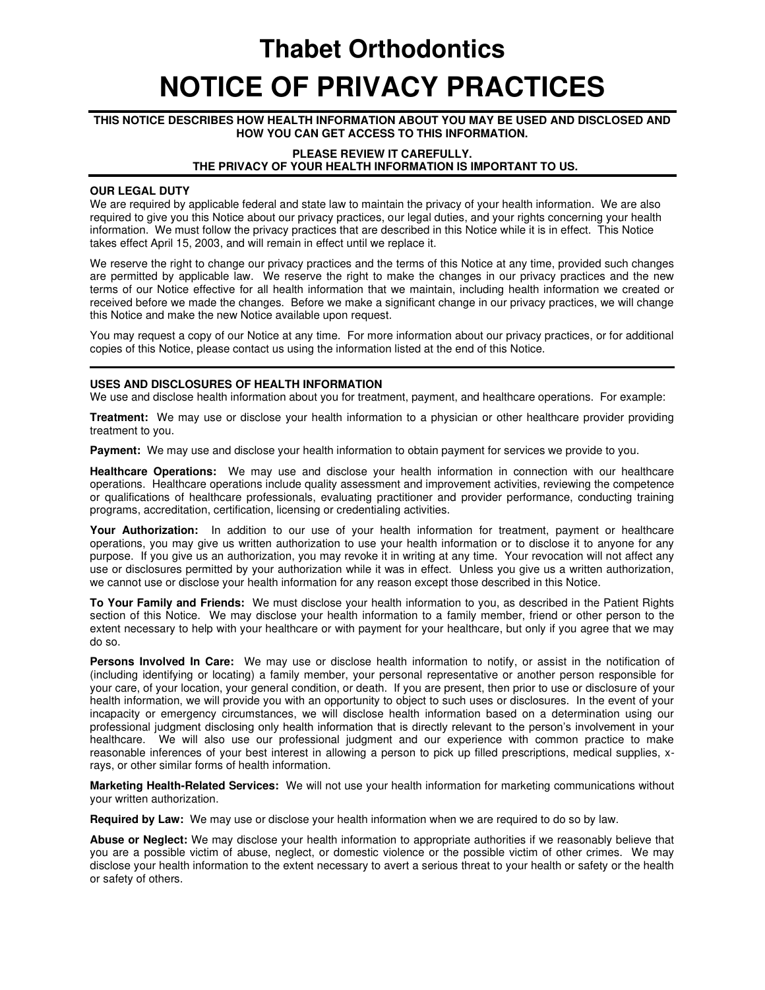# **Thabet Orthodontics NOTICE OF PRIVACY PRACTICES**

**THIS NOTICE DESCRIBES HOW HEALTH INFORMATION ABOUT YOU MAY BE USED AND DISCLOSED AND HOW YOU CAN GET ACCESS TO THIS INFORMATION.** 

#### **PLEASE REVIEW IT CAREFULLY. THE PRIVACY OF YOUR HEALTH INFORMATION IS IMPORTANT TO US.**

#### **OUR LEGAL DUTY**

We are required by applicable federal and state law to maintain the privacy of your health information. We are also required to give you this Notice about our privacy practices, our legal duties, and your rights concerning your health information. We must follow the privacy practices that are described in this Notice while it is in effect. This Notice takes effect April 15, 2003, and will remain in effect until we replace it.

We reserve the right to change our privacy practices and the terms of this Notice at any time, provided such changes are permitted by applicable law. We reserve the right to make the changes in our privacy practices and the new terms of our Notice effective for all health information that we maintain, including health information we created or received before we made the changes. Before we make a significant change in our privacy practices, we will change this Notice and make the new Notice available upon request.

You may request a copy of our Notice at any time. For more information about our privacy practices, or for additional copies of this Notice, please contact us using the information listed at the end of this Notice.

#### **USES AND DISCLOSURES OF HEALTH INFORMATION**

We use and disclose health information about you for treatment, payment, and healthcare operations. For example:

**Treatment:** We may use or disclose your health information to a physician or other healthcare provider providing treatment to you.

**Payment:** We may use and disclose your health information to obtain payment for services we provide to you.

**Healthcare Operations:** We may use and disclose your health information in connection with our healthcare operations. Healthcare operations include quality assessment and improvement activities, reviewing the competence or qualifications of healthcare professionals, evaluating practitioner and provider performance, conducting training programs, accreditation, certification, licensing or credentialing activities.

Your Authorization: In addition to our use of your health information for treatment, payment or healthcare operations, you may give us written authorization to use your health information or to disclose it to anyone for any purpose. If you give us an authorization, you may revoke it in writing at any time. Your revocation will not affect any use or disclosures permitted by your authorization while it was in effect. Unless you give us a written authorization, we cannot use or disclose your health information for any reason except those described in this Notice.

**To Your Family and Friends:** We must disclose your health information to you, as described in the Patient Rights section of this Notice. We may disclose your health information to a family member, friend or other person to the extent necessary to help with your healthcare or with payment for your healthcare, but only if you agree that we may do so.

**Persons Involved In Care:** We may use or disclose health information to notify, or assist in the notification of (including identifying or locating) a family member, your personal representative or another person responsible for your care, of your location, your general condition, or death. If you are present, then prior to use or disclosure of your health information, we will provide you with an opportunity to object to such uses or disclosures. In the event of your incapacity or emergency circumstances, we will disclose health information based on a determination using our professional judgment disclosing only health information that is directly relevant to the person's involvement in your healthcare. We will also use our professional judgment and our experience with common practice to make reasonable inferences of your best interest in allowing a person to pick up filled prescriptions, medical supplies, xrays, or other similar forms of health information.

**Marketing Health-Related Services:** We will not use your health information for marketing communications without your written authorization.

**Required by Law:** We may use or disclose your health information when we are required to do so by law.

**Abuse or Neglect:** We may disclose your health information to appropriate authorities if we reasonably believe that you are a possible victim of abuse, neglect, or domestic violence or the possible victim of other crimes. We may disclose your health information to the extent necessary to avert a serious threat to your health or safety or the health or safety of others.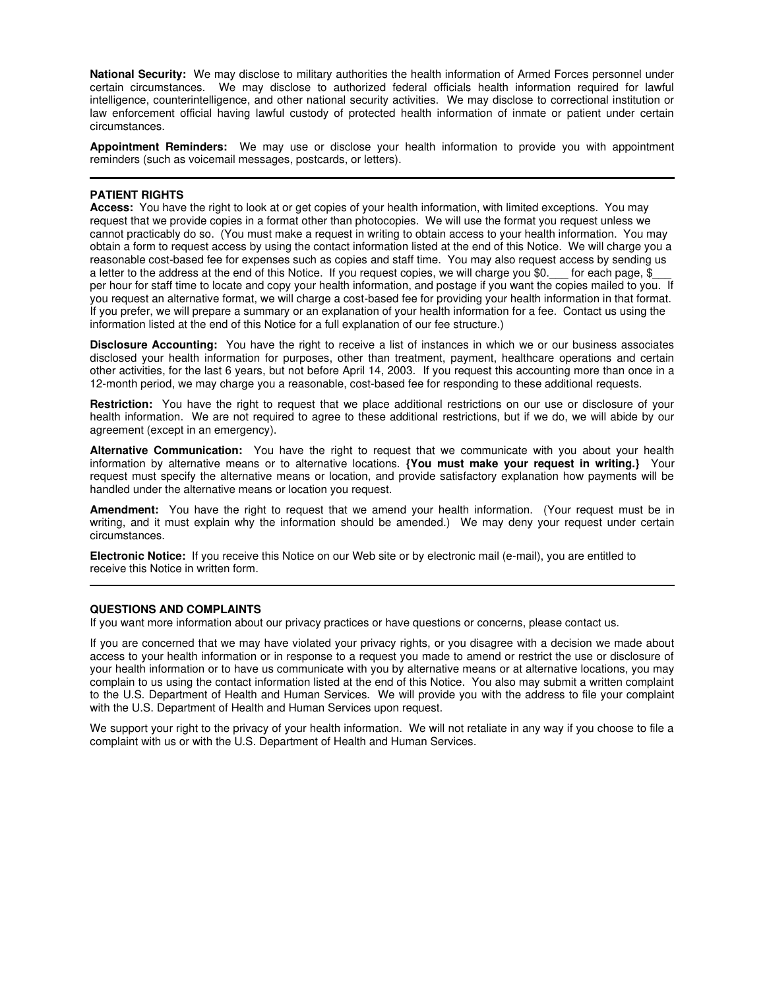**National Security:** We may disclose to military authorities the health information of Armed Forces personnel under certain circumstances. We may disclose to authorized federal officials health information required for lawful intelligence, counterintelligence, and other national security activities. We may disclose to correctional institution or law enforcement official having lawful custody of protected health information of inmate or patient under certain circumstances.

**Appointment Reminders:** We may use or disclose your health information to provide you with appointment reminders (such as voicemail messages, postcards, or letters).

#### **PATIENT RIGHTS**

**Access:** You have the right to look at or get copies of your health information, with limited exceptions. You may request that we provide copies in a format other than photocopies. We will use the format you request unless we cannot practicably do so. (You must make a request in writing to obtain access to your health information. You may obtain a form to request access by using the contact information listed at the end of this Notice. We will charge you a reasonable cost-based fee for expenses such as copies and staff time. You may also request access by sending us a letter to the address at the end of this Notice. If you request copies, we will charge you \$0.\_\_\_ for each page, \$\_ per hour for staff time to locate and copy your health information, and postage if you want the copies mailed to you. If you request an alternative format, we will charge a cost-based fee for providing your health information in that format. If you prefer, we will prepare a summary or an explanation of your health information for a fee. Contact us using the information listed at the end of this Notice for a full explanation of our fee structure.)

**Disclosure Accounting:** You have the right to receive a list of instances in which we or our business associates disclosed your health information for purposes, other than treatment, payment, healthcare operations and certain other activities, for the last 6 years, but not before April 14, 2003.If you request this accounting more than once in a 12-month period, we may charge you a reasonable, cost-based fee for responding to these additional requests.

**Restriction:** You have the right to request that we place additional restrictions on our use or disclosure of your health information. We are not required to agree to these additional restrictions, but if we do, we will abide by our agreement (except in an emergency).

**Alternative Communication:** You have the right to request that we communicate with you about your health information by alternative means or to alternative locations. **{You must make your request in writing.}** Your request must specify the alternative means or location, and provide satisfactory explanation how payments will be handled under the alternative means or location you request.

**Amendment:** You have the right to request that we amend your health information. (Your request must be in writing, and it must explain why the information should be amended.) We may deny your request under certain circumstances.

**Electronic Notice:** If you receive this Notice on our Web site or by electronic mail (e-mail), you are entitled to receive this Notice in written form.

#### **QUESTIONS AND COMPLAINTS**

If you want more information about our privacy practices or have questions or concerns, please contact us.

If you are concerned that we may have violated your privacy rights, or you disagree with a decision we made about access to your health information or in response to a request you made to amend or restrict the use or disclosure of your health information or to have us communicate with you by alternative means or at alternative locations, you may complain to us using the contact information listed at the end of this Notice. You also may submit a written complaint to the U.S. Department of Health and Human Services. We will provide you with the address to file your complaint with the U.S. Department of Health and Human Services upon request.

We support your right to the privacy of your health information. We will not retaliate in any way if you choose to file a complaint with us or with the U.S. Department of Health and Human Services.